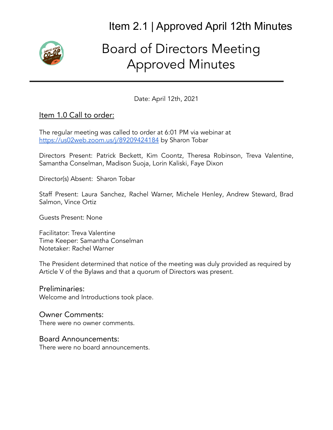

# Board of Directors Meeting Approved Minutes

Date: April 12th, 2021

#### Item 1.0 Call to order:

The regular meeting was called to order at 6:01 PM via webinar at <https://us02web.zoom.us/j/89209424184> by Sharon Tobar

Directors Present: Patrick Beckett, Kim Coontz, Theresa Robinson, Treva Valentine, Samantha Conselman, Madison Suoja, Lorin Kaliski, Faye Dixon

Director(s) Absent: Sharon Tobar

Staff Present: Laura Sanchez, Rachel Warner, Michele Henley, Andrew Steward, Brad Salmon, Vince Ortiz

Guests Present: None

Facilitator: Treva Valentine Time Keeper: Samantha Conselman Notetaker: Rachel Warner

The President determined that notice of the meeting was duly provided as required by Article V of the Bylaws and that a quorum of Directors was present.

#### Preliminaries:

Welcome and Introductions took place.

#### Owner Comments:

There were no owner comments.

#### Board Announcements:

There were no board announcements.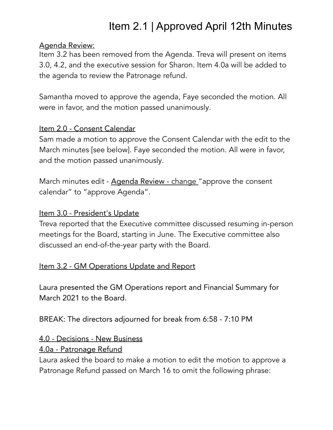#### Agenda Review:

Item 3.2 has been removed from the Agenda. Treva will present on items 3.0, 4.2, and the executive session for Sharon. Item 4.0a will be added to the agenda to review the Patronage refund.

Samantha moved to approve the agenda, Faye seconded the motion. All were in favor, and the motion passed unanimously.

### Item 2.0 - Consent Calendar

Sam made a motion to approve the Consent Calendar with the edit to the March minutes [see below]. Faye seconded the motion. All were in favor, and the motion passed unanimously.

March minutes edit - Agenda Review - change "approve the consent calendar" to "approve Agenda".

### Item 3.0 - President's Update

Treva reported that the Executive committee discussed resuming in-person meetings for the Board, starting in June. The Executive committee also discussed an end-of-the-year party with the Board.

### Item 3.2 - GM Operations Update and Report

Laura presented the GM Operations report and Financial Summary for March 2021 to the Board.

BREAK: The directors adjourned for break from 6:58 - 7:10 PM

#### 4.0 - Decisions - New Business

#### 4.0a - Patronage Refund

Laura asked the board to make a motion to edit the motion to approve a Patronage Refund passed on March 16 to omit the following phrase: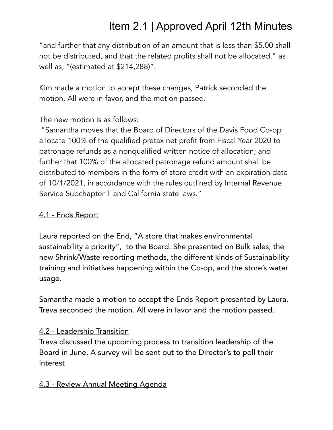"and further that any distribution of an amount that is less than \$5.00 shall not be distributed, and that the related profits shall not be allocated." as well as, "(estimated at \$214,288)".

Kim made a motion to accept these changes, Patrick seconded the motion. All were in favor, and the motion passed.

The new motion is as follows:

"Samantha moves that the Board of Directors of the Davis Food Co-op allocate 100% of the qualified pretax net profit from Fiscal Year 2020 to patronage refunds as a nonqualified written notice of allocation; and further that 100% of the allocated patronage refund amount shall be distributed to members in the form of store credit with an expiration date of 10/1/2021, in accordance with the rules outlined by Internal Revenue Service Subchapter T and California state laws."

### 4.1 - Ends Report

Laura reported on the End, "A store that makes environmental sustainability a priority", to the Board. She presented on Bulk sales, the new Shrink/Waste reporting methods, the different kinds of Sustainability training and initiatives happening within the Co-op, and the store's water usage.

Samantha made a motion to accept the Ends Report presented by Laura. Treva seconded the motion. All were in favor and the motion passed.

#### 4.2 - Leadership Transition

Treva discussed the upcoming process to transition leadership of the Board in June. A survey will be sent out to the Director's to poll their interest

#### 4.3 - Review Annual Meeting Agenda